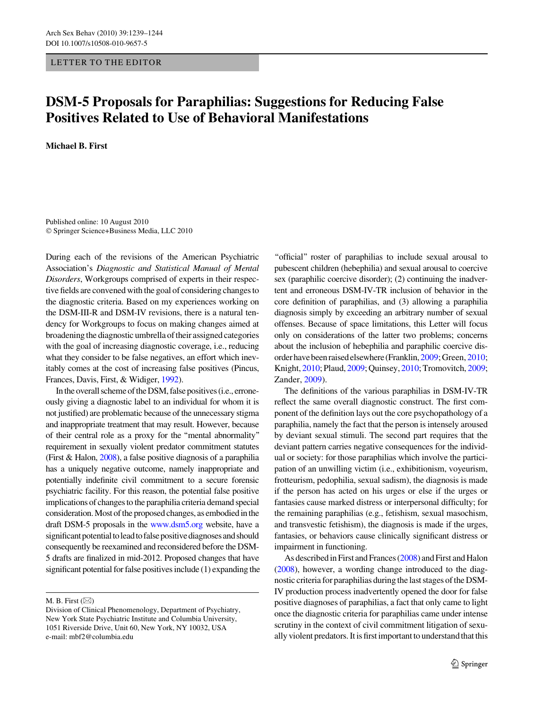## LETTER TO THE EDITOR

## DSM-5 Proposals for Paraphilias: Suggestions for Reducing False Positives Related to Use of Behavioral Manifestations

Michael B. First

Published online: 10 August 2010 © Springer Science+Business Media, LLC 2010

During each of the revisions of the American Psychiatric Association's Diagnostic and Statistical Manual of Mental Disorders, Workgroups comprised of experts in their respective fields are convened with the goal of considering changes to the diagnostic criteria. Based on my experiences working on the DSM-III-R and DSM-IV revisions, there is a natural tendency for Workgroups to focus on making changes aimed at broadening the diagnostic umbrella of their assigned categories with the goal of increasing diagnostic coverage, i.e., reducing what they consider to be false negatives, an effort which inevitably comes at the cost of increasing false positives (Pincus, Frances, Davis, First, & Widiger, [1992](#page-5-0)).

In the overall scheme of the DSM, false positives (i.e., erroneously giving a diagnostic label to an individual for whom it is not justified) are problematic because of the unnecessary stigma and inappropriate treatment that may result. However, because of their central role as a proxy for the ''mental abnormality'' requirement in sexually violent predator commitment statutes (First & Halon, [2008](#page-5-0)), a false positive diagnosis of a paraphilia has a uniquely negative outcome, namely inappropriate and potentially indefinite civil commitment to a secure forensic psychiatric facility. For this reason, the potential false positive implications of changes to the paraphilia criteria demand special consideration. Most of the proposed changes, as embodied in the draft DSM-5 proposals in the [www.dsm5.org](http://www.dsm5.org) website, have a significant potential to lead to false positive diagnoses and should consequently be reexamined and reconsidered before the DSM-5 drafts are finalized in mid-2012. Proposed changes that have significant potential for false positives include (1) expanding the

M. B. First  $(\boxtimes)$ 

''official'' roster of paraphilias to include sexual arousal to pubescent children (hebephilia) and sexual arousal to coercive sex (paraphilic coercive disorder); (2) continuing the inadvertent and erroneous DSM-IV-TR inclusion of behavior in the core definition of paraphilias, and (3) allowing a paraphilia diagnosis simply by exceeding an arbitrary number of sexual offenses. Because of space limitations, this Letter will focus only on considerations of the latter two problems; concerns about the inclusion of hebephilia and paraphilic coercive disorderhavebeenraisedelsewhere(Franklin,[2009](#page-5-0); Green, [2010](#page-5-0); Knight, [2010;](#page-5-0) Plaud, [2009;](#page-5-0) Quinsey, [2010](#page-5-0); Tromovitch, [2009](#page-5-0); Zander, [2009](#page-5-0)).

The definitions of the various paraphilias in DSM-IV-TR reflect the same overall diagnostic construct. The first component of the definition lays out the core psychopathology of a paraphilia, namely the fact that the person is intensely aroused by deviant sexual stimuli. The second part requires that the deviant pattern carries negative consequences for the individual or society: for those paraphilias which involve the participation of an unwilling victim (i.e., exhibitionism, voyeurism, frotteurism, pedophilia, sexual sadism), the diagnosis is made if the person has acted on his urges or else if the urges or fantasies cause marked distress or interpersonal difficulty; for the remaining paraphilias (e.g., fetishism, sexual masochism, and transvestic fetishism), the diagnosis is made if the urges, fantasies, or behaviors cause clinically significant distress or impairment in functioning.

As described in First and Frances [\(2008\)](#page-5-0) and First and Halon [\(2008\)](#page-5-0), however, a wording change introduced to the diagnostic criteria for paraphilias during the last stages of the DSM-IV production process inadvertently opened the door for false positive diagnoses of paraphilias, a fact that only came to light once the diagnostic criteria for paraphilias came under intense scrutiny in the context of civil commitment litigation of sexually violent predators. It is first important to understand that this

Division of Clinical Phenomenology, Department of Psychiatry, New York State Psychiatric Institute and Columbia University, 1051 Riverside Drive, Unit 60, New York, NY 10032, USA e-mail: mbf2@columbia.edu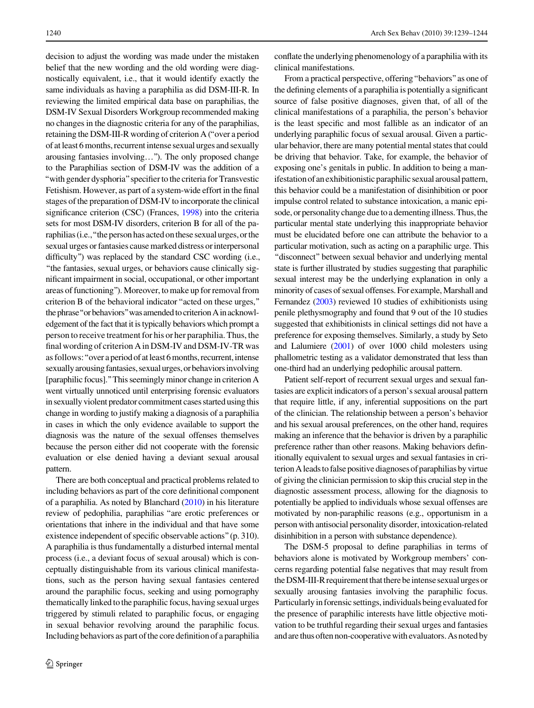decision to adjust the wording was made under the mistaken belief that the new wording and the old wording were diagnostically equivalent, i.e., that it would identify exactly the same individuals as having a paraphilia as did DSM-III-R. In reviewing the limited empirical data base on paraphilias, the DSM-IV Sexual Disorders Workgroup recommended making no changes in the diagnostic criteria for any of the paraphilias, retaining the DSM-III-R wording of criterion A (''over a period of at least 6 months, recurrent intense sexual urges and sexually arousing fantasies involving…''). The only proposed change to the Paraphilias section of DSM-IV was the addition of a ''with gender dysphoria''specifier to the criteria for Transvestic Fetishism. However, as part of a system-wide effort in the final stages of the preparation of DSM-IV to incorporate the clinical significance criterion (CSC) (Frances, [1998](#page-5-0)) into the criteria sets for most DSM-IV disorders, criterion B for all of the paraphilias (i.e., "the person has acted on these sexual urges, or the sexual urges or fantasies cause marked distress or interpersonal difficulty'') was replaced by the standard CSC wording (i.e., ''the fantasies, sexual urges, or behaviors cause clinically significant impairment in social, occupational, or other important areas of functioning''). Moreover, to make up for removal from criterion B of the behavioral indicator''acted on these urges,'' the phrase "or behaviors" was amended to criterion A in acknowledgement of the fact that it is typically behaviors which prompt a person to receive treatment for his or her paraphilia. Thus, the final wording of criterion A in DSM-IV and DSM-IV-TR was as follows:''over a period of at least 6 months, recurrent, intense sexually arousing fantasies, sexual urges, or behaviors involving [paraphilic focus].''This seemingly minor change in criterion A went virtually unnoticed until enterprising forensic evaluators in sexually violent predator commitment cases started using this change in wording to justify making a diagnosis of a paraphilia in cases in which the only evidence available to support the diagnosis was the nature of the sexual offenses themselves because the person either did not cooperate with the forensic evaluation or else denied having a deviant sexual arousal pattern.

There are both conceptual and practical problems related to including behaviors as part of the core definitional component of a paraphilia. As noted by Blanchard ([2010](#page-5-0)) in his literature review of pedophilia, paraphilias ''are erotic preferences or orientations that inhere in the individual and that have some existence independent of specific observable actions''(p. 310). A paraphilia is thus fundamentally a disturbed internal mental process (i.e., a deviant focus of sexual arousal) which is conceptually distinguishable from its various clinical manifestations, such as the person having sexual fantasies centered around the paraphilic focus, seeking and using pornography thematically linked to the paraphilic focus, having sexual urges triggered by stimuli related to paraphilic focus, or engaging in sexual behavior revolving around the paraphilic focus. Including behaviors as part of the core definition of a paraphilia conflate the underlying phenomenology of a paraphilia with its clinical manifestations.

From a practical perspective, offering''behaviors''as one of the defining elements of a paraphilia is potentially a significant source of false positive diagnoses, given that, of all of the clinical manifestations of a paraphilia, the person's behavior is the least specific and most fallible as an indicator of an underlying paraphilic focus of sexual arousal. Given a particular behavior, there are many potential mental states that could be driving that behavior. Take, for example, the behavior of exposing one's genitals in public. In addition to being a manifestation of an exhibitionistic paraphilic sexual arousal pattern, this behavior could be a manifestation of disinhibition or poor impulse control related to substance intoxication, a manic episode, or personality change due to a dementing illness. Thus, the particular mental state underlying this inappropriate behavior must be elucidated before one can attribute the behavior to a particular motivation, such as acting on a paraphilic urge. This ''disconnect'' between sexual behavior and underlying mental state is further illustrated by studies suggesting that paraphilic sexual interest may be the underlying explanation in only a minority of cases of sexual offenses. For example, Marshall and Fernandez [\(2003](#page-5-0)) reviewed 10 studies of exhibitionists using penile plethysmography and found that 9 out of the 10 studies suggested that exhibitionists in clinical settings did not have a preference for exposing themselves. Similarly, a study by Seto and Lalumiere [\(2001](#page-5-0)) of over 1000 child molesters using phallometric testing as a validator demonstrated that less than one-third had an underlying pedophilic arousal pattern.

Patient self-report of recurrent sexual urges and sexual fantasies are explicit indicators of a person's sexual arousal pattern that require little, if any, inferential suppositions on the part of the clinician. The relationship between a person's behavior and his sexual arousal preferences, on the other hand, requires making an inference that the behavior is driven by a paraphilic preference rather than other reasons. Making behaviors definitionally equivalent to sexual urges and sexual fantasies in criterion A leads to false positive diagnoses of paraphilias by virtue of giving the clinician permission to skip this crucial step in the diagnostic assessment process, allowing for the diagnosis to potentially be applied to individuals whose sexual offenses are motivated by non-paraphilic reasons (e.g., opportunism in a person with antisocial personality disorder, intoxication-related disinhibition in a person with substance dependence).

The DSM-5 proposal to define paraphilias in terms of behaviors alone is motivated by Workgroup members' concerns regarding potential false negatives that may result from the DSM-III-R requirement that there be intense sexual urges or sexually arousing fantasies involving the paraphilic focus. Particularly in forensic settings, individuals being evaluated for the presence of paraphilic interests have little objective motivation to be truthful regarding their sexual urges and fantasies and are thus often non-cooperative with evaluators. As noted by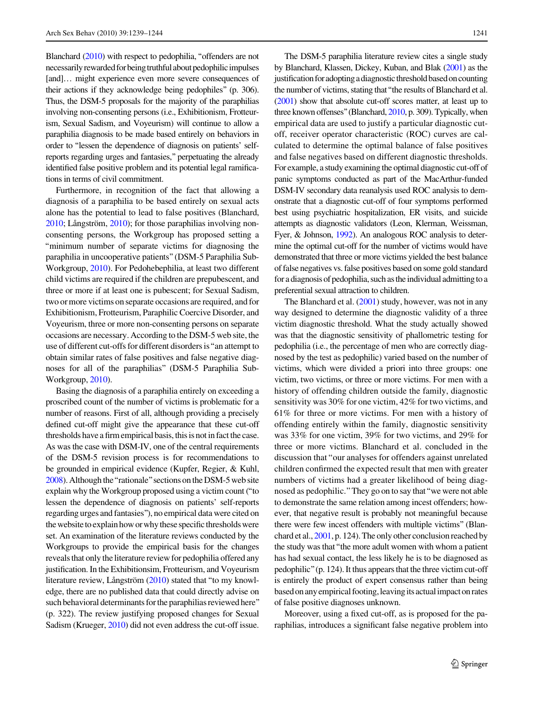Blanchard [\(2010\)](#page-5-0) with respect to pedophilia, "offenders are not necessarily rewarded for being truthful about pedophilic impulses [and]... might experience even more severe consequences of their actions if they acknowledge being pedophiles'' (p. 306). Thus, the DSM-5 proposals for the majority of the paraphilias involving non-consenting persons (i.e., Exhibitionism, Frotteurism, Sexual Sadism, and Voyeurism) will continue to allow a paraphilia diagnosis to be made based entirely on behaviors in order to ''lessen the dependence of diagnosis on patients' selfreports regarding urges and fantasies,'' perpetuating the already identified false positive problem and its potential legal ramifications in terms of civil commitment.

Furthermore, in recognition of the fact that allowing a diagnosis of a paraphilia to be based entirely on sexual acts alone has the potential to lead to false positives (Blanchard,  $2010$ ; Långström,  $2010$ ); for those paraphilias involving nonconsenting persons, the Workgroup has proposed setting a ''minimum number of separate victims for diagnosing the paraphilia in uncooperative patients''(DSM-5 Paraphilia Sub-Workgroup, [2010](#page-5-0)). For Pedohebephilia, at least two different child victims are required if the children are prepubescent, and three or more if at least one is pubescent; for Sexual Sadism, two or more victims on separate occasions are required, and for Exhibitionism, Frotteurism, Paraphilic Coercive Disorder, and Voyeurism, three or more non-consenting persons on separate occasions are necessary. According to the DSM-5 web site, the use of different cut-offs for different disorders is''an attempt to obtain similar rates of false positives and false negative diagnoses for all of the paraphilias'' (DSM-5 Paraphilia Sub-Workgroup, [2010\)](#page-5-0).

Basing the diagnosis of a paraphilia entirely on exceeding a proscribed count of the number of victims is problematic for a number of reasons. First of all, although providing a precisely defined cut-off might give the appearance that these cut-off thresholds have a firm empirical basis, this is not in fact the case. As was the case with DSM-IV, one of the central requirements of the DSM-5 revision process is for recommendations to be grounded in empirical evidence (Kupfer, Regier, & Kuhl, [2008](#page-5-0)). Although the''rationale''sections on the DSM-5 web site explain why the Workgroup proposed using a victim count (''to lessen the dependence of diagnosis on patients' self-reports regarding urges and fantasies''), no empirical data were cited on the website to explain how or why these specific thresholds were set. An examination of the literature reviews conducted by the Workgroups to provide the empirical basis for the changes reveals that only the literature review for pedophilia offered any justification. In the Exhibitionsim, Frotteurism, and Voyeurism literature review, Långström [\(2010](#page-5-0)) stated that "to my knowledge, there are no published data that could directly advise on such behavioral determinants for the paraphilias reviewed here'' (p. 322). The review justifying proposed changes for Sexual Sadism (Krueger, [2010\)](#page-5-0) did not even address the cut-off issue.

The DSM-5 paraphilia literature review cites a single study by Blanchard, Klassen, Dickey, Kuban, and Blak ([2001](#page-5-0)) as the justification for adopting a diagnostic threshold based on counting the number of victims, stating that''the results of Blanchard et al. [\(2001\)](#page-5-0) show that absolute cut-off scores matter, at least up to three known offenses''(Blanchard, [2010,](#page-5-0) p. 309). Typically, when empirical data are used to justify a particular diagnostic cutoff, receiver operator characteristic (ROC) curves are calculated to determine the optimal balance of false positives and false negatives based on different diagnostic thresholds. For example, a study examining the optimal diagnostic cut-off of panic symptoms conducted as part of the MacArthur-funded DSM-IV secondary data reanalysis used ROC analysis to demonstrate that a diagnostic cut-off of four symptoms performed best using psychiatric hospitalization, ER visits, and suicide attempts as diagnostic validators (Leon, Klerman, Weissman, Fyer, & Johnson, [1992](#page-5-0)). An analogous ROC analysis to determine the optimal cut-off for the number of victims would have demonstrated that three or more victims yielded the best balance of false negatives vs. false positives based on some gold standard for a diagnosis of pedophilia, such as the individual admitting to a preferential sexual attraction to children.

The Blanchard et al. ([2001](#page-5-0)) study, however, was not in any way designed to determine the diagnostic validity of a three victim diagnostic threshold. What the study actually showed was that the diagnostic sensitivity of phallometric testing for pedophilia (i.e., the percentage of men who are correctly diagnosed by the test as pedophilic) varied based on the number of victims, which were divided a priori into three groups: one victim, two victims, or three or more victims. For men with a history of offending children outside the family, diagnostic sensitivity was 30% for one victim, 42% for two victims, and 61% for three or more victims. For men with a history of offending entirely within the family, diagnostic sensitivity was 33% for one victim, 39% for two victims, and 29% for three or more victims. Blanchard et al. concluded in the discussion that''our analyses for offenders against unrelated children confirmed the expected result that men with greater numbers of victims had a greater likelihood of being diagnosed as pedophilic.''They go on to say that''we were not able to demonstrate the same relation among incest offenders; however, that negative result is probably not meaningful because there were few incest offenders with multiple victims'' (Blanchard et al., [2001,](#page-5-0) p. 124). The only other conclusion reached by the study was that''the more adult women with whom a patient has had sexual contact, the less likely he is to be diagnosed as pedophilic''(p. 124). It thus appears that the three victim cut-off is entirely the product of expert consensus rather than being based on any empirical footing, leaving its actual impact on rates of false positive diagnoses unknown.

Moreover, using a fixed cut-off, as is proposed for the paraphilias, introduces a significant false negative problem into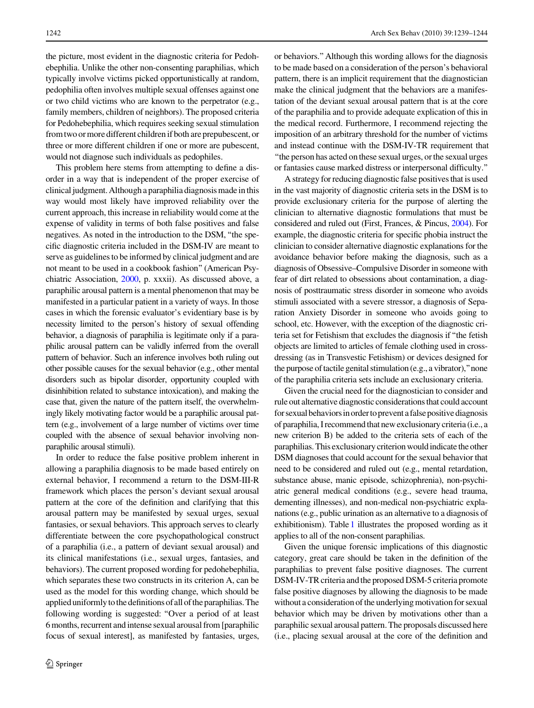the picture, most evident in the diagnostic criteria for Pedohebephilia. Unlike the other non-consenting paraphilias, which typically involve victims picked opportunistically at random, pedophilia often involves multiple sexual offenses against one or two child victims who are known to the perpetrator (e.g., family members, children of neighbors). The proposed criteria for Pedohebephilia, which requires seeking sexual stimulation from two or more different children if both are prepubescent, or three or more different children if one or more are pubescent, would not diagnose such individuals as pedophiles.

This problem here stems from attempting to define a disorder in a way that is independent of the proper exercise of clinical judgment. Although a paraphilia diagnosis made in this way would most likely have improved reliability over the current approach, this increase in reliability would come at the expense of validity in terms of both false positives and false negatives. As noted in the introduction to the DSM, ''the specific diagnostic criteria included in the DSM-IV are meant to serve as guidelines to be informed by clinical judgment and are not meant to be used in a cookbook fashion'' (American Psychiatric Association, [2000,](#page-5-0) p. xxxii). As discussed above, a paraphilic arousal pattern is a mental phenomenon that may be manifested in a particular patient in a variety of ways. In those cases in which the forensic evaluator's evidentiary base is by necessity limited to the person's history of sexual offending behavior, a diagnosis of paraphilia is legitimate only if a paraphilic arousal pattern can be validly inferred from the overall pattern of behavior. Such an inference involves both ruling out other possible causes for the sexual behavior (e.g., other mental disorders such as bipolar disorder, opportunity coupled with disinhibition related to substance intoxication), and making the case that, given the nature of the pattern itself, the overwhelmingly likely motivating factor would be a paraphilic arousal pattern (e.g., involvement of a large number of victims over time coupled with the absence of sexual behavior involving nonparaphilic arousal stimuli).

In order to reduce the false positive problem inherent in allowing a paraphilia diagnosis to be made based entirely on external behavior, I recommend a return to the DSM-III-R framework which places the person's deviant sexual arousal pattern at the core of the definition and clarifying that this arousal pattern may be manifested by sexual urges, sexual fantasies, or sexual behaviors. This approach serves to clearly differentiate between the core psychopathological construct of a paraphilia (i.e., a pattern of deviant sexual arousal) and its clinical manifestations (i.e., sexual urges, fantasies, and behaviors). The current proposed wording for pedohebephilia, which separates these two constructs in its criterion A, can be used as the model for this wording change, which should be applied uniformly to the definitions of all of the paraphilias. The following wording is suggested: ''Over a period of at least 6 months, recurrent and intense sexual arousal from [paraphilic focus of sexual interest], as manifested by fantasies, urges, or behaviors.''Although this wording allows for the diagnosis to be made based on a consideration of the person's behavioral pattern, there is an implicit requirement that the diagnostician make the clinical judgment that the behaviors are a manifestation of the deviant sexual arousal pattern that is at the core of the paraphilia and to provide adequate explication of this in the medical record. Furthermore, I recommend rejecting the imposition of an arbitrary threshold for the number of victims and instead continue with the DSM-IV-TR requirement that ''the person has acted on these sexual urges, or the sexual urges or fantasies cause marked distress or interpersonal difficulty.''

A strategy for reducing diagnostic false positives that is used in the vast majority of diagnostic criteria sets in the DSM is to provide exclusionary criteria for the purpose of alerting the clinician to alternative diagnostic formulations that must be considered and ruled out (First, Frances, & Pincus, [2004\)](#page-5-0). For example, the diagnostic criteria for specific phobia instruct the clinician to consider alternative diagnostic explanations for the avoidance behavior before making the diagnosis, such as a diagnosis of Obsessive–Compulsive Disorder in someone with fear of dirt related to obsessions about contamination, a diagnosis of posttraumatic stress disorder in someone who avoids stimuli associated with a severe stressor, a diagnosis of Separation Anxiety Disorder in someone who avoids going to school, etc. However, with the exception of the diagnostic criteria set for Fetishism that excludes the diagnosis if''the fetish objects are limited to articles of female clothing used in crossdressing (as in Transvestic Fetishism) or devices designed for the purpose of tactile genital stimulation (e.g., a vibrator),''none of the paraphilia criteria sets include an exclusionary criteria.

Given the crucial need for the diagnostician to consider and rule out alternative diagnostic considerations that could account for sexual behaviors in order to prevent a false positive diagnosis of paraphilia, I recommend that newexclusionary criteria (i.e., a new criterion B) be added to the criteria sets of each of the paraphilias. This exclusionary criterion would indicate the other DSM diagnoses that could account for the sexual behavior that need to be considered and ruled out (e.g., mental retardation, substance abuse, manic episode, schizophrenia), non-psychiatric general medical conditions (e.g., severe head trauma, dementing illnesses), and non-medical non-psychiatric explanations (e.g., public urination as an alternative to a diagnosis of exhibitionism). Table [1](#page-4-0) illustrates the proposed wording as it applies to all of the non-consent paraphilias.

Given the unique forensic implications of this diagnostic category, great care should be taken in the definition of the paraphilias to prevent false positive diagnoses. The current DSM-IV-TR criteria and the proposed DSM-5 criteria promote false positive diagnoses by allowing the diagnosis to be made without a consideration of the underlying motivation for sexual behavior which may be driven by motivations other than a paraphilic sexual arousal pattern. The proposals discussed here (i.e., placing sexual arousal at the core of the definition and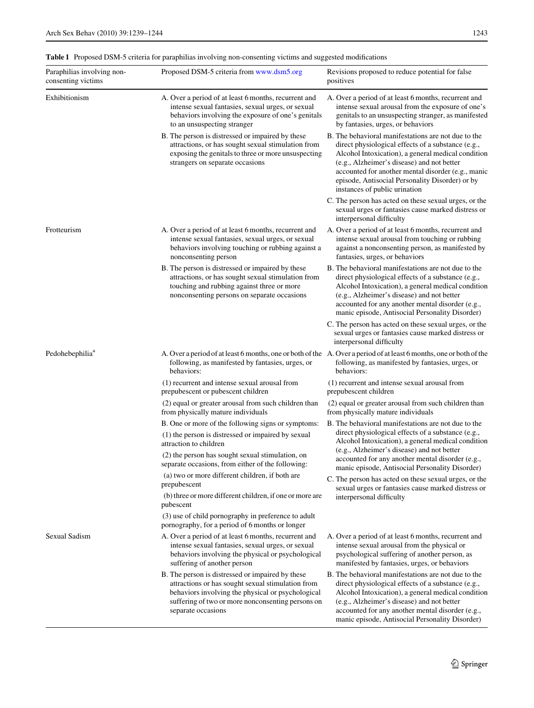<span id="page-4-0"></span>Table 1 Proposed DSM-5 criteria for paraphilias involving non-consenting victims and suggested modifications

| Paraphilias involving non-<br>consenting victims | Proposed DSM-5 criteria from www.dsm5.org                                                                                                                                                                                             | Revisions proposed to reduce potential for false<br>positives                                                                                                                                                                                                                                                                                                                                                                                                   |
|--------------------------------------------------|---------------------------------------------------------------------------------------------------------------------------------------------------------------------------------------------------------------------------------------|-----------------------------------------------------------------------------------------------------------------------------------------------------------------------------------------------------------------------------------------------------------------------------------------------------------------------------------------------------------------------------------------------------------------------------------------------------------------|
| Exhibitionism                                    | A. Over a period of at least 6 months, recurrent and<br>intense sexual fantasies, sexual urges, or sexual<br>behaviors involving the exposure of one's genitals<br>to an unsuspecting stranger                                        | A. Over a period of at least 6 months, recurrent and<br>intense sexual arousal from the exposure of one's<br>genitals to an unsuspecting stranger, as manifested<br>by fantasies, urges, or behaviors                                                                                                                                                                                                                                                           |
|                                                  | B. The person is distressed or impaired by these<br>attractions, or has sought sexual stimulation from<br>exposing the genitals to three or more unsuspecting<br>strangers on separate occasions                                      | B. The behavioral manifestations are not due to the<br>direct physiological effects of a substance (e.g.,<br>Alcohol Intoxication), a general medical condition<br>(e.g., Alzheimer's disease) and not better<br>accounted for another mental disorder (e.g., manic<br>episode, Antisocial Personality Disorder) or by<br>instances of public urination                                                                                                         |
|                                                  |                                                                                                                                                                                                                                       | C. The person has acted on these sexual urges, or the<br>sexual urges or fantasies cause marked distress or<br>interpersonal difficulty                                                                                                                                                                                                                                                                                                                         |
| Frotteurism                                      | A. Over a period of at least 6 months, recurrent and<br>intense sexual fantasies, sexual urges, or sexual<br>behaviors involving touching or rubbing against a<br>nonconsenting person                                                | A. Over a period of at least 6 months, recurrent and<br>intense sexual arousal from touching or rubbing<br>against a nonconsenting person, as manifested by<br>fantasies, urges, or behaviors                                                                                                                                                                                                                                                                   |
|                                                  | B. The person is distressed or impaired by these<br>attractions, or has sought sexual stimulation from<br>touching and rubbing against three or more<br>nonconsenting persons on separate occasions                                   | B. The behavioral manifestations are not due to the<br>direct physiological effects of a substance (e.g.,<br>Alcohol Intoxication), a general medical condition<br>(e.g., Alzheimer's disease) and not better<br>accounted for any another mental disorder (e.g.,<br>manic episode, Antisocial Personality Disorder)                                                                                                                                            |
|                                                  |                                                                                                                                                                                                                                       | C. The person has acted on these sexual urges, or the<br>sexual urges or fantasies cause marked distress or<br>interpersonal difficulty                                                                                                                                                                                                                                                                                                                         |
| Pedohebephilia <sup>a</sup>                      | following, as manifested by fantasies, urges, or<br>behaviors:                                                                                                                                                                        | A. Over a period of at least 6 months, one or both of the A. Over a period of at least 6 months, one or both of the<br>following, as manifested by fantasies, urges, or<br>behaviors:                                                                                                                                                                                                                                                                           |
|                                                  | (1) recurrent and intense sexual arousal from<br>prepubescent or pubescent children                                                                                                                                                   | (1) recurrent and intense sexual arousal from<br>prepubescent children                                                                                                                                                                                                                                                                                                                                                                                          |
|                                                  | (2) equal or greater arousal from such children than<br>from physically mature individuals                                                                                                                                            | (2) equal or greater arousal from such children than<br>from physically mature individuals                                                                                                                                                                                                                                                                                                                                                                      |
|                                                  | B. One or more of the following signs or symptoms:                                                                                                                                                                                    | B. The behavioral manifestations are not due to the<br>direct physiological effects of a substance (e.g.,<br>Alcohol Intoxication), a general medical condition<br>(e.g., Alzheimer's disease) and not better<br>accounted for any another mental disorder (e.g.,<br>manic episode, Antisocial Personality Disorder)<br>C. The person has acted on these sexual urges, or the<br>sexual urges or fantasies cause marked distress or<br>interpersonal difficulty |
|                                                  | (1) the person is distressed or impaired by sexual<br>attraction to children                                                                                                                                                          |                                                                                                                                                                                                                                                                                                                                                                                                                                                                 |
|                                                  | (2) the person has sought sexual stimulation, on<br>separate occasions, from either of the following:                                                                                                                                 |                                                                                                                                                                                                                                                                                                                                                                                                                                                                 |
|                                                  | (a) two or more different children, if both are<br>prepubescent                                                                                                                                                                       |                                                                                                                                                                                                                                                                                                                                                                                                                                                                 |
|                                                  | (b) three or more different children, if one or more are<br>pubescent                                                                                                                                                                 |                                                                                                                                                                                                                                                                                                                                                                                                                                                                 |
|                                                  | (3) use of child pornography in preference to adult<br>pornography, for a period of 6 months or longer                                                                                                                                |                                                                                                                                                                                                                                                                                                                                                                                                                                                                 |
| Sexual Sadism                                    | A. Over a period of at least 6 months, recurrent and<br>intense sexual fantasies, sexual urges, or sexual<br>behaviors involving the physical or psychological<br>suffering of another person                                         | A. Over a period of at least 6 months, recurrent and<br>intense sexual arousal from the physical or<br>psychological suffering of another person, as<br>manifested by fantasies, urges, or behaviors                                                                                                                                                                                                                                                            |
|                                                  | B. The person is distressed or impaired by these<br>attractions or has sought sexual stimulation from<br>behaviors involving the physical or psychological<br>suffering of two or more nonconsenting persons on<br>separate occasions | B. The behavioral manifestations are not due to the<br>direct physiological effects of a substance (e.g.,<br>Alcohol Intoxication), a general medical condition<br>(e.g., Alzheimer's disease) and not better<br>accounted for any another mental disorder (e.g.,<br>manic episode, Antisocial Personality Disorder)                                                                                                                                            |